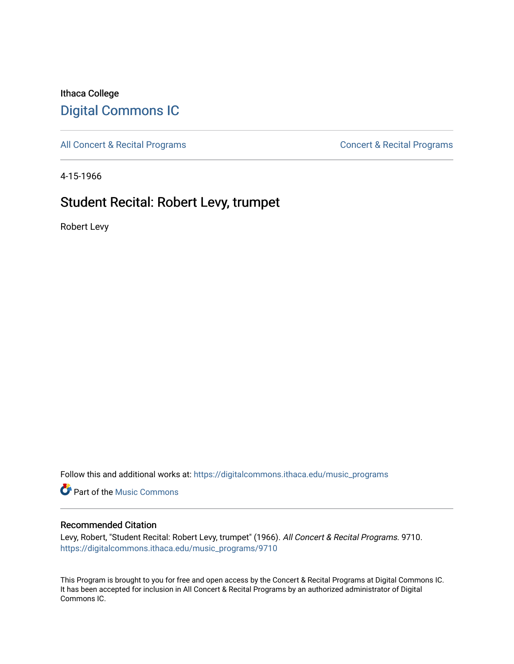## Ithaca College [Digital Commons IC](https://digitalcommons.ithaca.edu/)

[All Concert & Recital Programs](https://digitalcommons.ithaca.edu/music_programs) **Concert & Recital Programs** Concert & Recital Programs

4-15-1966

# Student Recital: Robert Levy, trumpet

Robert Levy

Follow this and additional works at: [https://digitalcommons.ithaca.edu/music\\_programs](https://digitalcommons.ithaca.edu/music_programs?utm_source=digitalcommons.ithaca.edu%2Fmusic_programs%2F9710&utm_medium=PDF&utm_campaign=PDFCoverPages) 

**Part of the Music Commons** 

### Recommended Citation

Levy, Robert, "Student Recital: Robert Levy, trumpet" (1966). All Concert & Recital Programs. 9710. [https://digitalcommons.ithaca.edu/music\\_programs/9710](https://digitalcommons.ithaca.edu/music_programs/9710?utm_source=digitalcommons.ithaca.edu%2Fmusic_programs%2F9710&utm_medium=PDF&utm_campaign=PDFCoverPages) 

This Program is brought to you for free and open access by the Concert & Recital Programs at Digital Commons IC. It has been accepted for inclusion in All Concert & Recital Programs by an authorized administrator of Digital Commons IC.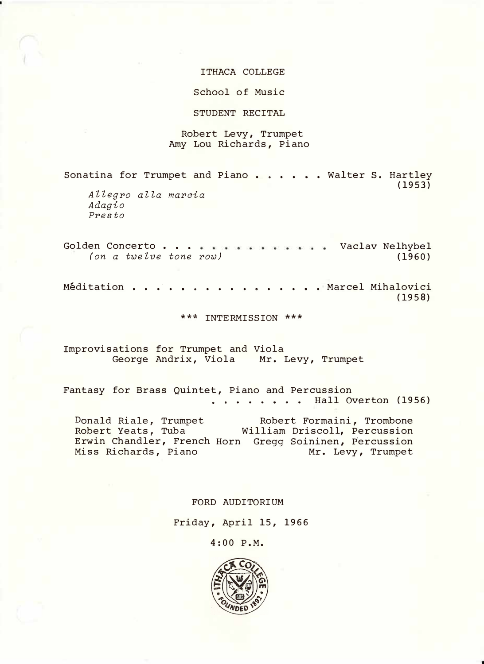#### ITHACA COLLEGE

School of Music

STUDENT RECITAL

#### Robert Levy , Trumpet Amy Lou Richards, Piano

Sonatina for Trumpet and Piano . . . . . Walter S. Hartley (1953) *Allegro alla mareia Adagio Presto* 

Golden Concerto . . . . . . . . . . . . . Vaclav Nelhybel *(on a twelve tone row)*  (1960)

Meditation . . . • . . . . . . . . . . . . . Marcel Mihalovici (1958)

\*\*\* INTERMISSION \*\*\*

Improvisations for Trumpet and Viola George Andrix, Viola Mr. Levy, Trumpet

Fantasy for Brass Quintet, Piano and Percussion  $\ldots$  . . . . . Hall Overton (1956)

Donald Riale, Trumpet Robert Yeats, Tuba Erwin Chandler, French Horn Gregg Soininen, Percussion Miss Richards, Piano Robert Formaini, Trombone William Driscoll, Percussion Mr. Levy, Trumpet

FORD AUDITORIUM

Friday, April 15, 1966

4:00 P.M.